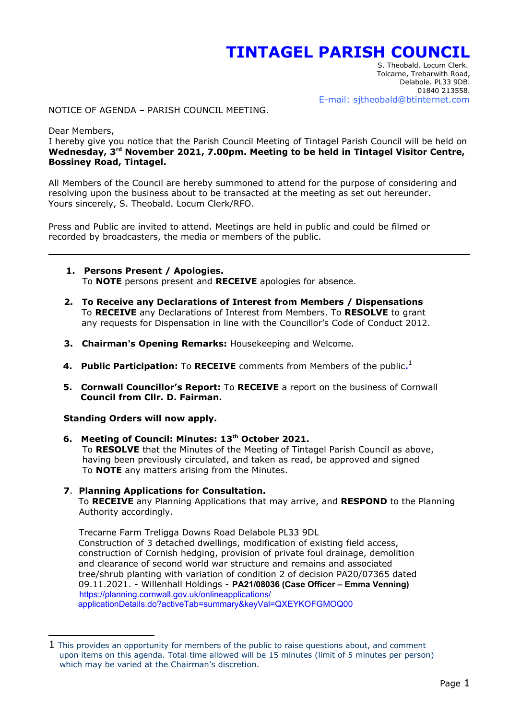# **TINTAGEL PARISH COUNCIL**

<span id="page-0-0"></span> S. Theobald. Locum Clerk. Tolcarne, Trebarwith Road, Delabole. PL33 9DB. 01840 213558. E-mail: sjtheobald@btinternet.com

NOTICE OF AGENDA – PARISH COUNCIL MEETING.

Dear Members,

I hereby give you notice that the Parish Council Meeting of Tintagel Parish Council will be held on **Wednesday, 3rd November 2021, 7.00pm. Meeting to be held in Tintagel Visitor Centre, Bossiney Road, Tintagel.**

All Members of the Council are hereby summoned to attend for the purpose of considering and resolving upon the business about to be transacted at the meeting as set out hereunder. Yours sincerely, S. Theobald. Locum Clerk/RFO.

Press and Public are invited to attend. Meetings are held in public and could be filmed or recorded by broadcasters, the media or members of the public.

- **1. Persons Present / Apologies.** To **NOTE** persons present and **RECEIVE** apologies for absence.
- **2. To Receive any Declarations of Interest from Members / Dispensations** To **RECEIVE** any Declarations of Interest from Members. To **RESOLVE** to grant any requests for Dispensation in line with the Councillor's Code of Conduct 2012.
- **3. Chairman's Opening Remarks:** Housekeeping and Welcome.
- **4. Public Participation:** To **RECEIVE** comments from Members of the public.<sup>[1](#page-0-1)</sup>
	- **5. Cornwall Councillor's Report:** To **RECEIVE** a report on the business of Cornwall  **Council from Cllr. D. Fairman.**

**Standing Orders will now apply.**

 **6. Meeting of Council: Minutes: 13th October 2021.** To **RESOLVE** that the Minutes of the Meeting of Tintagel Parish Council as above, having been previously circulated, and taken as read, be approved and signed To **NOTE** any matters arising from the Minutes.

## **7**. **Planning Applications for Consultation.**

To **RECEIVE** any Planning Applications that may arrive, and **RESPOND** to the Planning Authority accordingly.

 Trecarne Farm Treligga Downs Road Delabole PL33 9DL Construction of 3 detached dwellings, modification of existing field access, construction of Cornish hedging, provision of private foul drainage, demolition and clearance of second world war structure and remains and associated tree/shrub planting with variation of condition 2 of decision PA20/07365 dated 09.11.2021. - Willenhall Holdings - **PA21/08036 (Case Officer – Emma Venning)** https://planning.cornwall.gov.uk/onlineapplications/ applicationDetails.do?activeTab=summary&keyVal=QXEYKOFGMOQ00

<span id="page-0-1"></span> $1$  This provides an opportunity for members of the public to raise questions about, and comment upon items on this agenda. Total time allowed will be 15 minutes (limit of 5 minutes per person) which may be varied at the Chairman's discretion.